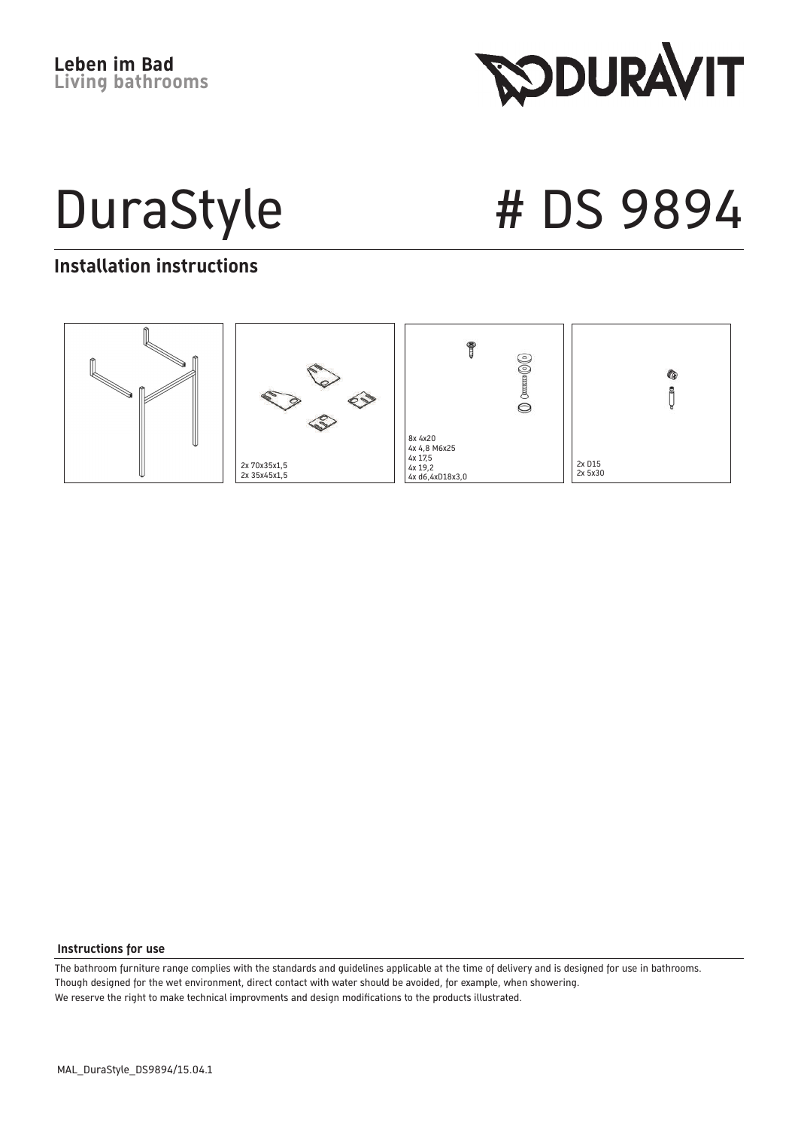**RODURAVIT** 

DuraStyle # DS 9894

#### **Installation instructions**



#### **Instructions for use**

The bathroom furniture range complies with the standards and guidelines applicable at the time of delivery and is designed for use in bathrooms. Though designed for the wet environment, direct contact with water should be avoided, for example, when showering. We reserve the right to make technical improvments and design modifications to the products illustrated.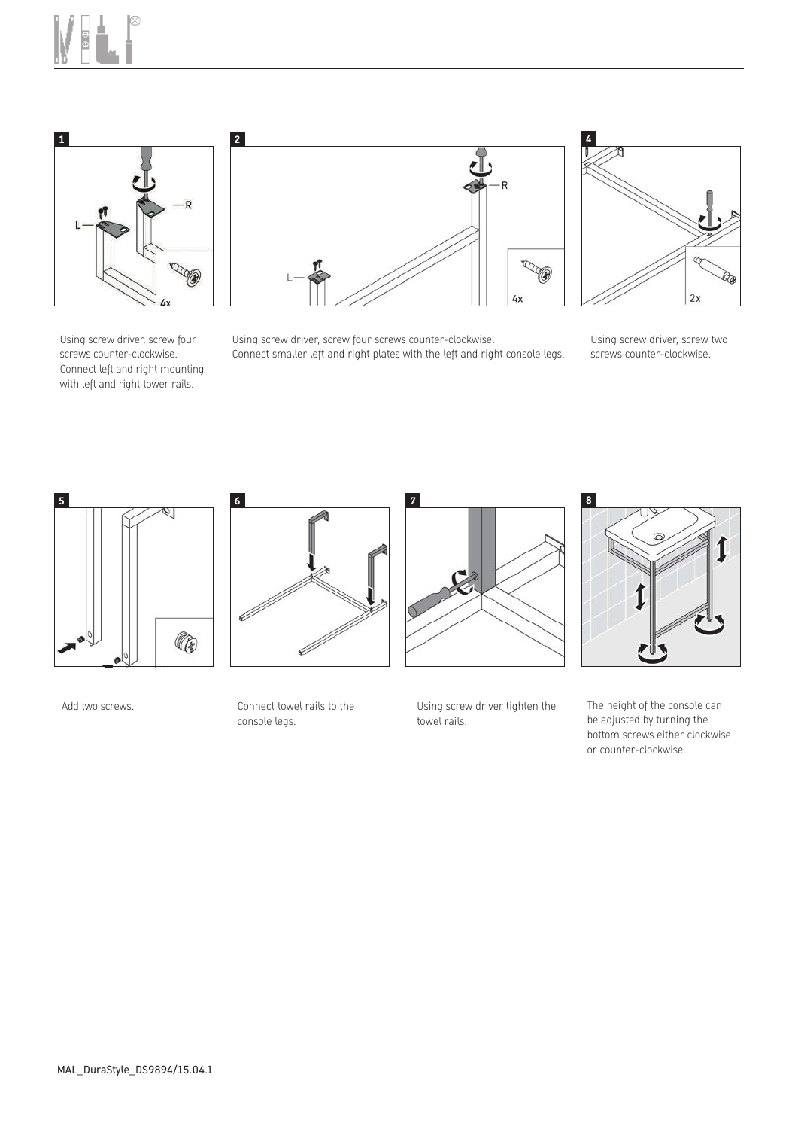



Using screw driver, screw four screws counter-clockwise. Connect left and right mounting with left and right tower rails.



Using screw driver, screw four screws counter-clockwise. Connect smaller left and right plates with the left and right console legs.



Using screw driver, screw two screws counter-clockwise.



Add two screws. The connect towel rails to the

Ø 6

console legs.



Using screw driver tighten the towel rails.



The height of the console can be adjusted by turning the bottom screws either clockwise or counter-clockwise.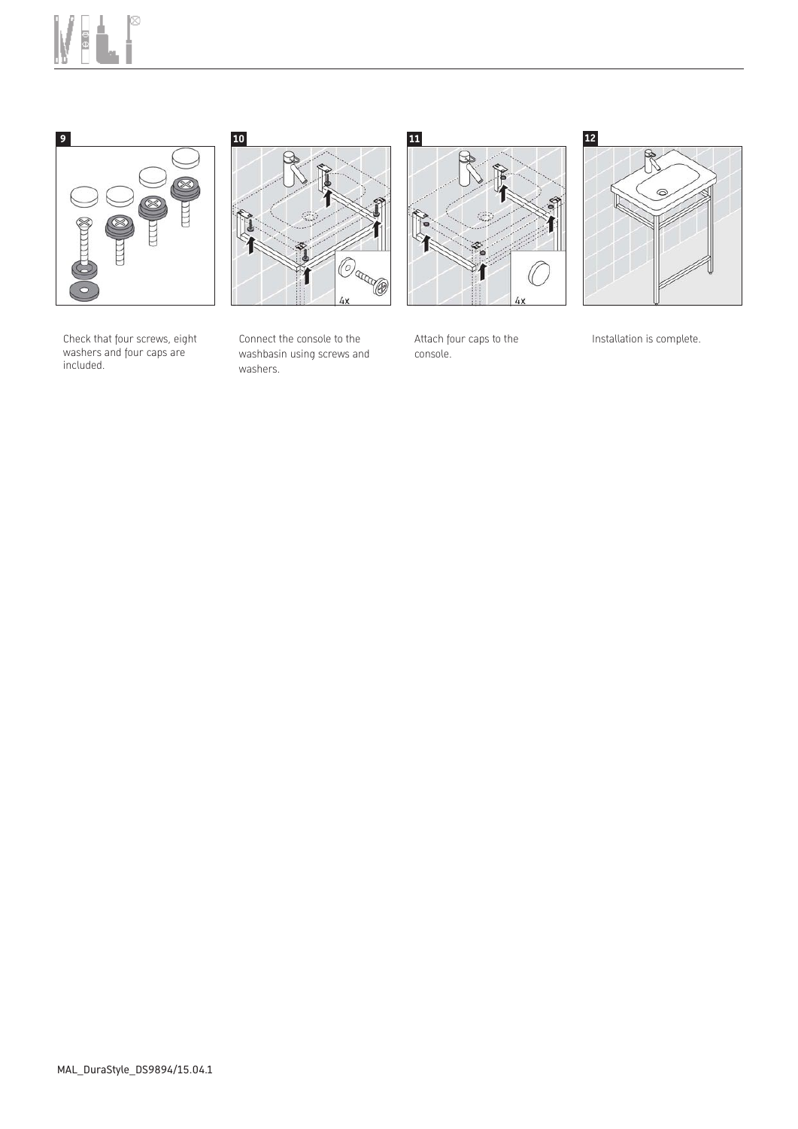







Check that four screws, eight washers and four caps are included.

Connect the console to the washbasin using screws and washers.

Attach four caps to the console.

Installation is complete.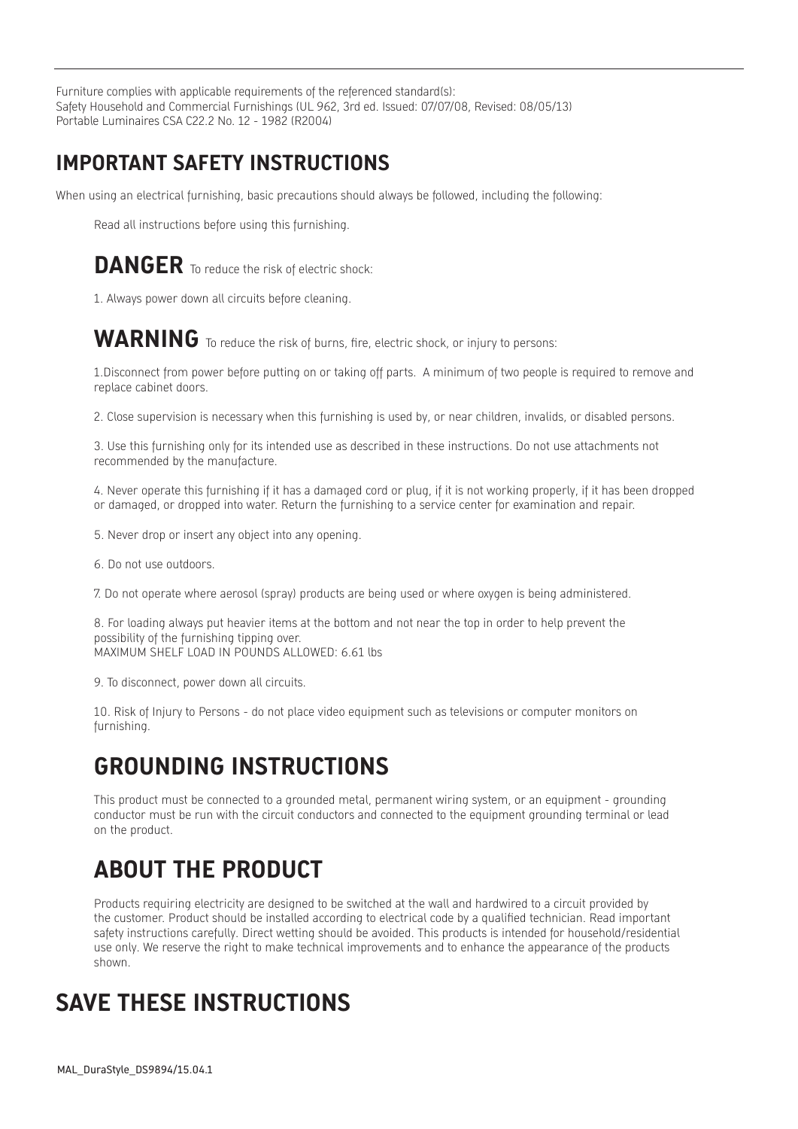Furniture complies with applicable requirements of the referenced standard(s): Safety Household and Commercial Furnishings (UL 962, 3rd ed. Issued: 07/07/08, Revised: 08/05/13) Portable Luminaires CSA C22.2 No. 12 - 1982 (R2004)

#### **IMPORTANT SAFETY INSTRUCTIONS**

When using an electrical furnishing, basic precautions should always be followed, including the following:

Read all instructions before using this furnishing.

#### **DANGER** To reduce the risk of electric shock:

1. Always power down all circuits before cleaning.

#### WARNING To reduce the risk of burns, fire, electric shock, or injury to persons:

1.Disconnect from power before putting on or taking off parts. A minimum of two people is required to remove and replace cabinet doors.

2. Close supervision is necessary when this furnishing is used by, or near children, invalids, or disabled persons.

3. Use this furnishing only for its intended use as described in these instructions. Do not use attachments not recommended by the manufacture.

4. Never operate this furnishing if it has a damaged cord or plug, if it is not working properly, if it has been dropped or damaged, or dropped into water. Return the furnishing to a service center for examination and repair.

- 5. Never drop or insert any object into any opening.
- 6. Do not use outdoors.
- 7. Do not operate where aerosol (spray) products are being used or where oxygen is being administered.

8. For loading always put heavier items at the bottom and not near the top in order to help prevent the possibility of the furnishing tipping over. MAXIMUM SHELF LOAD IN POUNDS ALLOWED: 6.61 lbs

9. To disconnect, power down all circuits.

10. Risk of Injury to Persons - do not place video equipment such as televisions or computer monitors on furnishing.

## **GROUNDING INSTRUCTIONS**

This product must be connected to a grounded metal, permanent wiring system, or an equipment - grounding conductor must be run with the circuit conductors and connected to the equipment grounding terminal or lead on the product.

# **ABOUT THE PRODUCT**

Products requiring electricity are designed to be switched at the wall and hardwired to a circuit provided by the customer. Product should be installed according to electrical code by a qualified technician. Read important safety instructions carefully. Direct wetting should be avoided. This products is intended for household/residential use only. We reserve the right to make technical improvements and to enhance the appearance of the products shown.

## **SAVE THESE INSTRUCTIONS**